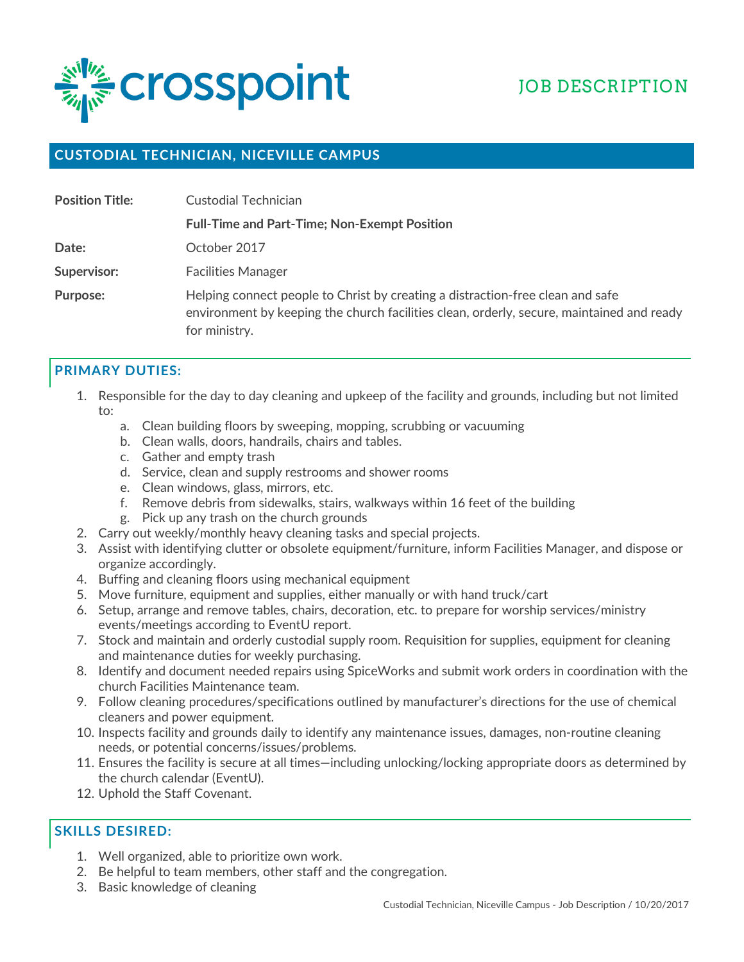

## **CUSTODIAL TECHNICIAN, NICEVILLE CAMPUS**

| <b>Position Title:</b> | Custodial Technician                                                                                                                                                                         |
|------------------------|----------------------------------------------------------------------------------------------------------------------------------------------------------------------------------------------|
|                        | <b>Full-Time and Part-Time; Non-Exempt Position</b>                                                                                                                                          |
| Date:                  | October 2017                                                                                                                                                                                 |
| Supervisor:            | <b>Facilities Manager</b>                                                                                                                                                                    |
| Purpose:               | Helping connect people to Christ by creating a distraction-free clean and safe<br>environment by keeping the church facilities clean, orderly, secure, maintained and ready<br>for ministry. |

## **PRIMARY DUTIES:**

- 1. Responsible for the day to day cleaning and upkeep of the facility and grounds, including but not limited to:
	- a. Clean building floors by sweeping, mopping, scrubbing or vacuuming
	- b. Clean walls, doors, handrails, chairs and tables.
	- c. Gather and empty trash
	- d. Service, clean and supply restrooms and shower rooms
	- e. Clean windows, glass, mirrors, etc.
	- f. Remove debris from sidewalks, stairs, walkways within 16 feet of the building
	- g. Pick up any trash on the church grounds
- 2. Carry out weekly/monthly heavy cleaning tasks and special projects.
- 3. Assist with identifying clutter or obsolete equipment/furniture, inform Facilities Manager, and dispose or organize accordingly.
- 4. Buffing and cleaning floors using mechanical equipment
- 5. Move furniture, equipment and supplies, either manually or with hand truck/cart
- 6. Setup, arrange and remove tables, chairs, decoration, etc. to prepare for worship services/ministry events/meetings according to EventU report.
- 7. Stock and maintain and orderly custodial supply room. Requisition for supplies, equipment for cleaning and maintenance duties for weekly purchasing.
- 8. Identify and document needed repairs using SpiceWorks and submit work orders in coordination with the church Facilities Maintenance team.
- 9. Follow cleaning procedures/specifications outlined by manufacturer's directions for the use of chemical cleaners and power equipment.
- 10. Inspects facility and grounds daily to identify any maintenance issues, damages, non-routine cleaning needs, or potential concerns/issues/problems.
- 11. Ensures the facility is secure at all times—including unlocking/locking appropriate doors as determined by the church calendar (EventU).
- 12. Uphold the Staff Covenant.

## **SKILLS DESIRED:**

- 1. Well organized, able to prioritize own work.
- 2. Be helpful to team members, other staff and the congregation.
- 3. Basic knowledge of cleaning